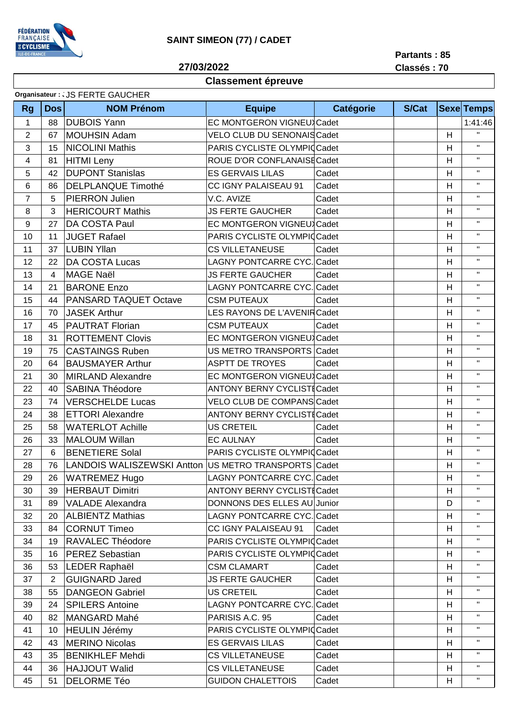

## **SAINT SIMEON (77) / CADET**

**27/03/2022**

**Partants : 85 Classés : 70**

## **Classement épreuve**

|                | Organisateur : . JS FERTE GAUCHER |                                                      |                                    |                  |              |   |                   |
|----------------|-----------------------------------|------------------------------------------------------|------------------------------------|------------------|--------------|---|-------------------|
| <b>Rg</b>      | <b>Dos</b>                        | <b>NOM Prénom</b>                                    | <b>Equipe</b>                      | <b>Catégorie</b> | <b>S/Cat</b> |   | <b>Sexe Temps</b> |
| 1              | 88                                | <b>DUBOIS Yann</b>                                   | EC MONTGERON VIGNEUX Cadet         |                  |              |   | 1:41:46           |
| $\overline{c}$ | 67                                | <b>MOUHSIN Adam</b>                                  | <b>VELO CLUB DU SENONAIS Cadet</b> |                  |              | H | $\mathbf{H}$      |
| 3              | 15                                | <b>NICOLINI Mathis</b>                               | PARIS CYCLISTE OLYMPICCadet        |                  |              | H | $\mathbf{H}$      |
| 4              | 81                                | <b>HITMI Leny</b>                                    | ROUE D'OR CONFLANAISE Cadet        |                  |              | Н | $\mathbf{H}$      |
| 5              | 42                                | <b>DUPONT Stanislas</b>                              | <b>ES GERVAIS LILAS</b>            | Cadet            |              | H | $\mathbf{H}$      |
| 6              | 86                                | <b>DELPLANQUE Timothé</b>                            | CC IGNY PALAISEAU 91               | Cadet            |              | Н | $\mathbf{H}$      |
| $\overline{7}$ | 5                                 | PIERRON Julien                                       | V.C. AVIZE                         | Cadet            |              | H | $\mathbf{H}$      |
| 8              | 3                                 | <b>HERICOURT Mathis</b>                              | <b>JS FERTE GAUCHER</b>            | Cadet            |              | H | $\mathbf{H}$      |
| 9              | 27                                | DA COSTA Paul                                        | EC MONTGERON VIGNEU Cadet          |                  |              | H | $\mathbf{H}$      |
| 10             | 11                                | <b>JUGET Rafael</b>                                  | PARIS CYCLISTE OLYMPICCadet        |                  |              | H | $\mathbf{H}$      |
| 11             | 37                                | <b>LUBIN Yllan</b>                                   | <b>CS VILLETANEUSE</b>             | Cadet            |              | H | $\mathbf{H}$      |
| 12             | 22                                | DA COSTA Lucas                                       | LAGNY PONTCARRE CYC. Cadet         |                  |              | H | $\mathbf{H}$      |
| 13             | $\overline{4}$                    | <b>MAGE Naël</b>                                     | <b>JS FERTE GAUCHER</b>            | Cadet            |              | H | $\mathbf{H}$      |
| 14             | 21                                | <b>BARONE Enzo</b>                                   | LAGNY PONTCARRE CYC. Cadet         |                  |              | H | $\mathbf{H}$      |
| 15             | 44                                | PANSARD TAQUET Octave                                | <b>CSM PUTEAUX</b>                 | Cadet            |              | H | $\mathbf{H}$      |
| 16             | 70                                | <b>JASEK Arthur</b>                                  | LES RAYONS DE L'AVENIR Cadet       |                  |              | H | $\mathbf{H}$      |
| 17             | 45                                | <b>PAUTRAT Florian</b>                               | <b>CSM PUTEAUX</b>                 | Cadet            |              | H | $\mathbf{H}$      |
| 18             | 31                                | <b>ROTTEMENT Clovis</b>                              | EC MONTGERON VIGNEUX Cadet         |                  |              | H | $\mathbf{H}$      |
| 19             | 75                                | <b>CASTAINGS Ruben</b>                               | US METRO TRANSPORTS Cadet          |                  |              | H | $\mathbf{H}$      |
| 20             | 64                                | <b>BAUSMAYER Arthur</b>                              | <b>ASPTT DE TROYES</b>             | Cadet            |              | H | $\mathbf{H}$      |
| 21             | 30                                | <b>MIRLAND Alexandre</b>                             | EC MONTGERON VIGNEU Cadet          |                  |              | H | $\mathbf{H}$      |
| 22             | 40                                | <b>SABINA Théodore</b>                               | <b>ANTONY BERNY CYCLISTICadet</b>  |                  |              | H | $\mathbf{H}$      |
| 23             | 74                                | <b>VERSCHELDE Lucas</b>                              | VELO CLUB DE COMPANS Cadet         |                  |              | Н | $\mathbf{H}$      |
| 24             | 38                                | <b>ETTORI Alexandre</b>                              | <b>ANTONY BERNY CYCLISTICadet</b>  |                  |              | H | $\mathbf{H}$      |
| 25             | 58                                | <b>WATERLOT Achille</b>                              | <b>US CRETEIL</b>                  | Cadet            |              | H | $\mathbf{H}$      |
| 26             | 33                                | <b>MALOUM Willan</b>                                 | <b>EC AULNAY</b>                   | Cadet            |              | H | $\mathbf{H}$      |
| 27             | 6                                 | <b>BENETIERE Solal</b>                               | PARIS CYCLISTE OLYMPICCadet        |                  |              | Н | $\mathbf{H}$ .    |
| 28             | 76                                | LANDOIS WALISZEWSKI Antton US METRO TRANSPORTS Cadet |                                    |                  |              | H | $\mathbf{H}$      |
| 29             | 26                                | <b>WATREMEZ Hugo</b>                                 | <b>LAGNY PONTCARRE CYC. Cadet</b>  |                  |              | Н | $\mathbf{H}$      |
| 30             | 39                                | <b>HERBAUT Dimitri</b>                               | <b>ANTONY BERNY CYCLISTICadet</b>  |                  |              | Н | $\mathbf{H}$      |
| 31             | 89                                | <b>VALADE Alexandra</b>                              | DONNONS DES ELLES AU Junior        |                  |              | D | $\mathbf{H}$      |
| 32             | 20                                | <b>ALBIENTZ Mathias</b>                              | LAGNY PONTCARRE CYC. Cadet         |                  |              | H | $\mathbf{H}$      |
| 33             | 84                                | <b>CORNUT Timeo</b>                                  | CC IGNY PALAISEAU 91               | Cadet            |              | H | $\mathbf{H}$      |
| 34             | 19                                | RAVALEC Théodore                                     | PARIS CYCLISTE OLYMPICCadet        |                  |              | H | $\mathbf H$       |
| 35             | 16                                | <b>PEREZ Sebastian</b>                               | PARIS CYCLISTE OLYMPICCadet        |                  |              | Н | $\mathbf{H}$      |
| 36             | 53                                | LEDER Raphaël                                        | <b>CSM CLAMART</b>                 | Cadet            |              | H | $\mathbf H$       |
| 37             | $\overline{2}$                    | <b>GUIGNARD Jared</b>                                | <b>JS FERTE GAUCHER</b>            | Cadet            |              | Н | $\mathbf{H}$      |
| 38             | 55                                | <b>DANGEON Gabriel</b>                               | <b>US CRETEIL</b>                  | Cadet            |              | H | $\mathbf{H}$      |
| 39             | 24                                | <b>SPILERS Antoine</b>                               | <b>LAGNY PONTCARRE CYC. Cadet</b>  |                  |              | Н | $\mathbf{H}$      |
| 40             | 82                                | MANGARD Mahé                                         | PARISIS A.C. 95                    | Cadet            |              | H | $\mathbf{H}$      |
| 41             | 10                                | <b>HEULIN Jérémy</b>                                 | PARIS CYCLISTE OLYMPICCadet        |                  |              | H | $\mathbf{H}$      |
| 42             | 43                                | <b>MERINO Nicolas</b>                                | <b>ES GERVAIS LILAS</b>            | Cadet            |              | H | $\mathbf{H}$      |
| 43             | 35                                | <b>BENIKHLEF Mehdi</b>                               | <b>CS VILLETANEUSE</b>             | Cadet            |              | H | $\mathbf{H}$      |
| 44             | 36                                | <b>HAJJOUT Walid</b>                                 | <b>CS VILLETANEUSE</b>             | Cadet            |              | H | $\mathbf{H}$      |
| 45             | 51                                | <b>DELORME Téo</b>                                   | <b>GUIDON CHALETTOIS</b>           | Cadet            |              | Н | $\mathbf{H}$      |